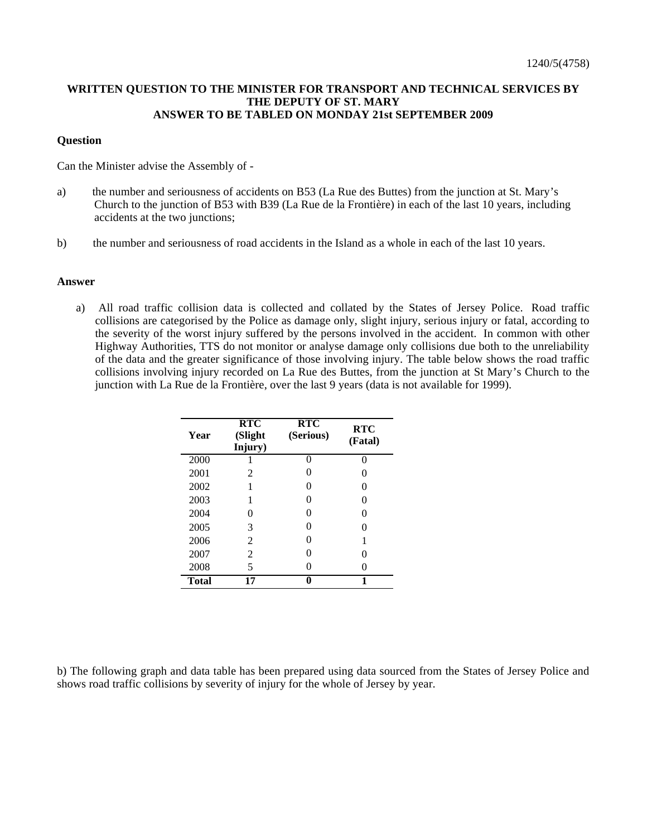## **WRITTEN QUESTION TO THE MINISTER FOR TRANSPORT AND TECHNICAL SERVICES BY THE DEPUTY OF ST. MARY ANSWER TO BE TABLED ON MONDAY 21st SEPTEMBER 2009**

## **Question**

Can the Minister advise the Assembly of -

- a) the number and seriousness of accidents on B53 (La Rue des Buttes) from the junction at St. Mary's Church to the junction of B53 with B39 (La Rue de la Frontière) in each of the last 10 years, including accidents at the two junctions;
- b) the number and seriousness of road accidents in the Island as a whole in each of the last 10 years.

## **Answer**

a) All road traffic collision data is collected and collated by the States of Jersey Police. Road traffic collisions are categorised by the Police as damage only, slight injury, serious injury or fatal, according to the severity of the worst injury suffered by the persons involved in the accident. In common with other Highway Authorities, TTS do not monitor or analyse damage only collisions due both to the unreliability of the data and the greater significance of those involving injury. The table below shows the road traffic collisions involving injury recorded on La Rue des Buttes, from the junction at St Mary's Church to the junction with La Rue de la Frontière, over the last 9 years (data is not available for 1999).

| Year  | <b>RTC</b><br>(Slight<br>Injury) | <b>RTC</b><br>(Serious) | <b>RTC</b><br>(Fatal) |
|-------|----------------------------------|-------------------------|-----------------------|
| 2000  |                                  | 0                       | 0                     |
| 2001  | 2                                |                         | $\mathbf{0}$          |
| 2002  |                                  | 0                       | $_{0}$                |
| 2003  |                                  | 0                       | $_{0}$                |
| 2004  | 0                                | 0                       | 0                     |
| 2005  | 3                                | 0                       | 0                     |
| 2006  | 2                                | 0                       | 1                     |
| 2007  | 2                                | 0                       | 0                     |
| 2008  | 5                                |                         | 0                     |
| Total | 17                               |                         |                       |

b) The following graph and data table has been prepared using data sourced from the States of Jersey Police and shows road traffic collisions by severity of injury for the whole of Jersey by year.